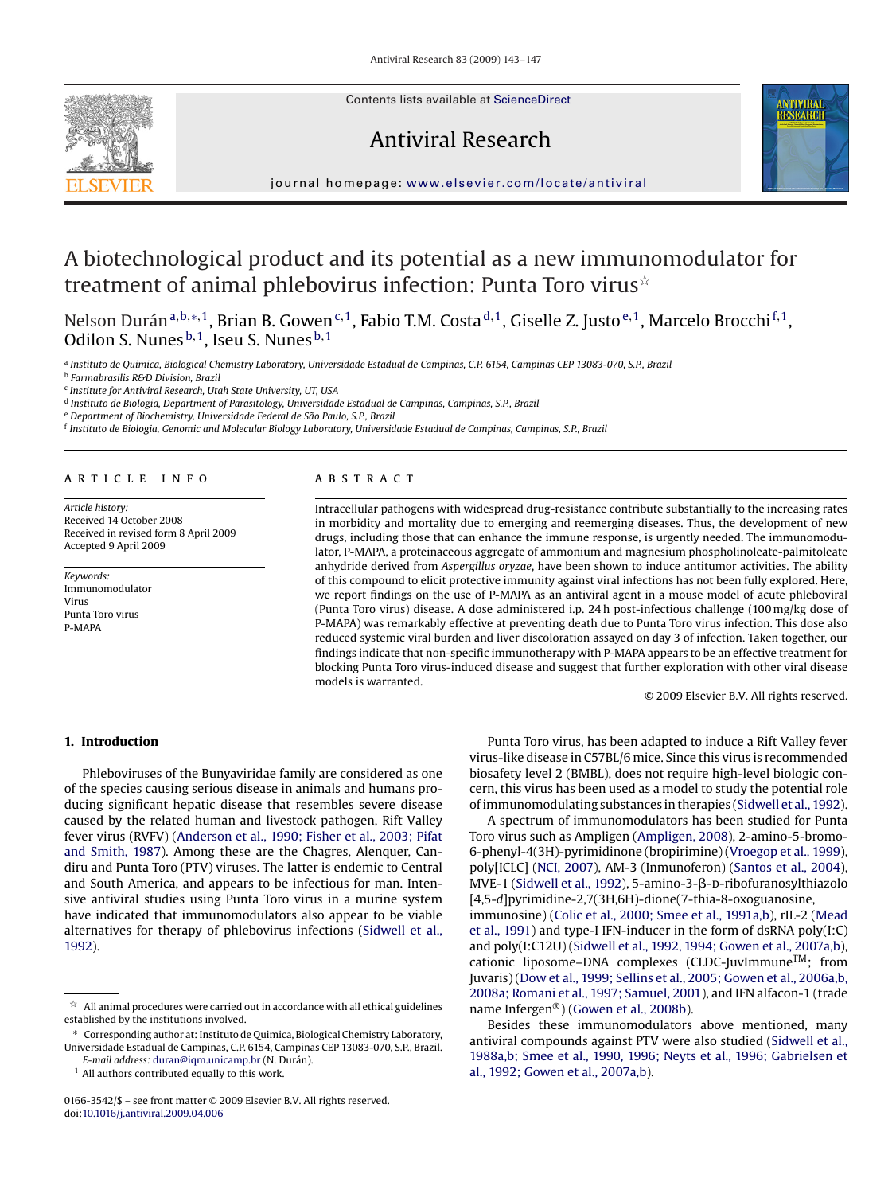Contents lists available at [ScienceDirect](http://www.sciencedirect.com/science/journal/01663542)

Antiviral Research



journal homepage: [www.elsevier.com/locate/antiviral](http://www.elsevier.com/locate/antiviral)

# A biotechnological product and its potential as a new immunomodulator for treatment of animal phlebovirus infection: Punta Toro virus $^{\star}$

Nelson Durán<sup>a,b,∗,1</sup>, Brian B. Gowen<sup>c,1</sup>, Fabio T.M. Costa<sup>d,1</sup>, Giselle Z. Justo<sup>e,1</sup>, Marcelo Brocchi<sup>f,1</sup>, Odilon S. Nunes  $b,1$ , Iseu S. Nunes  $b,1$ 

<sup>a</sup> *Instituto de Quimica, Biological Chemistry Laboratory, Universidade Estadual de Campinas, C.P. 6154, Campinas CEP 13083-070, S.P., Brazil*

<sup>b</sup> *Farmabrasilis R&D Division, Brazil*

<sup>c</sup> *Institute for Antiviral Research, Utah State University, UT, USA*

<sup>d</sup> *Instituto de Biologia, Department of Parasitology, Universidade Estadual de Campinas, Campinas, S.P., Brazil*

<sup>e</sup> *Department of Biochemistry, Universidade Federal de São Paulo, S.P., Brazil*

<sup>f</sup> *Instituto de Biologia, Genomic and Molecular Biology Laboratory, Universidade Estadual de Campinas, Campinas, S.P., Brazil*

#### article info

*Article history:* Received 14 October 2008 Received in revised form 8 April 2009 Accepted 9 April 2009

*Keywords:* Immunomodulator Virus Punta Toro virus P-MAPA

#### **ABSTRACT**

Intracellular pathogens with widespread drug-resistance contribute substantially to the increasing rates in morbidity and mortality due to emerging and reemerging diseases. Thus, the development of new drugs, including those that can enhance the immune response, is urgently needed. The immunomodulator, P-MAPA, a proteinaceous aggregate of ammonium and magnesium phospholinoleate-palmitoleate anhydride derived from *Aspergillus oryzae*, have been shown to induce antitumor activities. The ability of this compound to elicit protective immunity against viral infections has not been fully explored. Here, we report findings on the use of P-MAPA as an antiviral agent in a mouse model of acute phleboviral (Punta Toro virus) disease. A dose administered i.p. 24 h post-infectious challenge (100 mg/kg dose of P-MAPA) was remarkably effective at preventing death due to Punta Toro virus infection. This dose also reduced systemic viral burden and liver discoloration assayed on day 3 of infection. Taken together, our findings indicate that non-specific immunotherapy with P-MAPA appears to be an effective treatment for blocking Punta Toro virus-induced disease and suggest that further exploration with other viral disease models is warranted.

© 2009 Elsevier B.V. All rights reserved.

## **1. Introduction**

Phleboviruses of the Bunyaviridae family are considered as one of the species causing serious disease in animals and humans producing significant hepatic disease that resembles severe disease caused by the related human and livestock pathogen, Rift Valley fever virus (RVFV) ([Anderson et al., 1990; Fisher et al., 2003; Pifat](#page-4-0) [and Smith, 1987\).](#page-4-0) Among these are the Chagres, Alenquer, Candiru and Punta Toro (PTV) viruses. The latter is endemic to Central and South America, and appears to be infectious for man. Intensive antiviral studies using Punta Toro virus in a murine system have indicated that immunomodulators also appear to be viable alternatives for therapy of phlebovirus infections [\(Sidwell et al.,](#page-4-0) [1992\).](#page-4-0)

<sup>1</sup> All authors contributed equally to this work.

Punta Toro virus, has been adapted to induce a Rift Valley fever virus-like disease in C57BL/6 mice. Since this virus is recommended biosafety level 2 (BMBL), does not require high-level biologic concern, this virus has been used as a model to study the potential role of immunomodulating substances in therapies [\(Sidwell et al., 1992\).](#page-4-0)

A spectrum of immunomodulators has been studied for Punta Toro virus such as Ampligen ([Ampligen, 2008\),](#page-4-0) 2-amino-5-bromo-6-phenyl-4(3H)-pyrimidinone (bropirimine) [\(Vroegop et al., 1999\),](#page-4-0) poly[ICLC] [\(NCI, 2007\),](#page-4-0) AM-3 (Inmunoferon) [\(Santos et al., 2004\),](#page-4-0) MVE-1 [\(Sidwell et al., 1992\),](#page-4-0) 5-amino-3-β-D-ribofuranosylthiazolo [4,5-*d*]pyrimidine-2,7(3H,6H)-dione(7-thia-8-oxoguanosine,

immunosine) ([Colic et al., 2000; Smee et al., 1991a,b\),](#page-4-0) rIL-2 [\(Mead](#page-4-0) [et al., 1991\)](#page-4-0) and type-I IFN-inducer in the form of dsRNA poly(I:C) and poly(I:C12U) [\(Sidwell et al., 1992, 1994; Gowen et al., 2007a,b\),](#page-4-0) cationic liposome–DNA complexes (CLDC-JuvImmuneTM; from Juvaris) ([Dow et al., 1999; Sellins et al., 2005; Gowen et al., 2006a,b,](#page-4-0) [2008a; Romani et al., 1997; Samuel, 2001\),](#page-4-0) and IFN alfacon-1 (trade name Infergen®) [\(Gowen et al., 2008b\).](#page-4-0)

Besides these immunomodulators above mentioned, many antiviral compounds against PTV were also studied [\(Sidwell et al.,](#page-4-0) [1988a,b; Smee et al., 1990, 1996; Neyts et al., 1996; Gabrielsen et](#page-4-0) [al., 1992; Gowen et al., 2007a,b\).](#page-4-0)

 $^\star \:$  All animal procedures were carried out in accordance with all ethical guidelines established by the institutions involved.

<sup>∗</sup> Corresponding author at: Instituto de Quimica, Biological Chemistry Laboratory, Universidade Estadual de Campinas, C.P. 6154, Campinas CEP 13083-070, S.P., Brazil. *E-mail address:* [duran@iqm.unicamp.br](mailto:duran@iqm.unicamp.br) (N. Durán).

<sup>0166-3542/\$ –</sup> see front matter © 2009 Elsevier B.V. All rights reserved. doi:[10.1016/j.antiviral.2009.04.006](dx.doi.org/10.1016/j.antiviral.2009.04.006)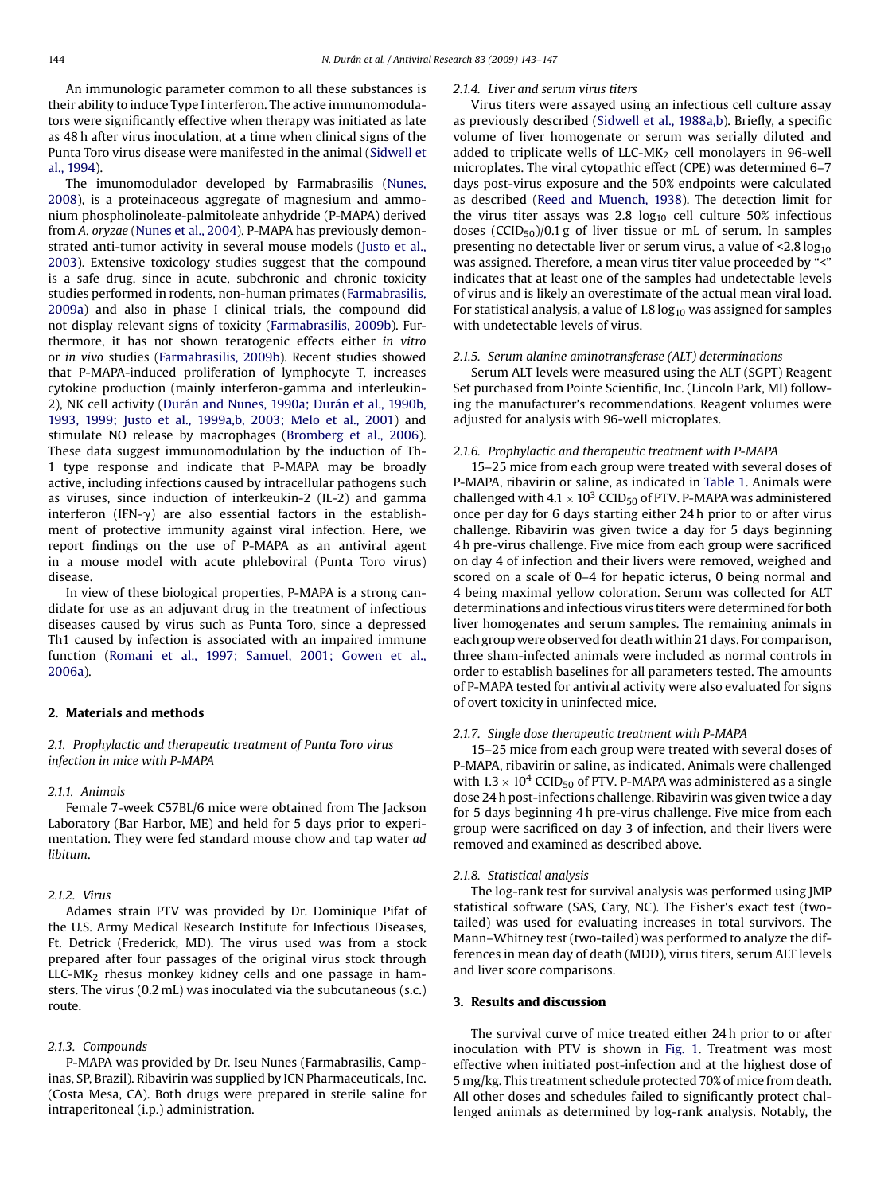An immunologic parameter common to all these substances is their ability to induce Type I interferon. The active immunomodulators were significantly effective when therapy was initiated as late as 48 h after virus inoculation, at a time when clinical signs of the Punta Toro virus disease were manifested in the animal [\(Sidwell et](#page-4-0) [al., 1994\).](#page-4-0)

The imunomodulador developed by Farmabrasilis ([Nunes,](#page-4-0) [2008\),](#page-4-0) is a proteinaceous aggregate of magnesium and ammonium phospholinoleate-palmitoleate anhydride (P-MAPA) derived from *A. oryzae* [\(Nunes et al., 2004\).](#page-4-0) P-MAPA has previously demonstrated anti-tumor activity in several mouse models ([Justo et al.,](#page-4-0) [2003\).](#page-4-0) Extensive toxicology studies suggest that the compound is a safe drug, since in acute, subchronic and chronic toxicity studies performed in rodents, non-human primates ([Farmabrasilis,](#page-4-0) [2009a\)](#page-4-0) and also in phase I clinical trials, the compound did not display relevant signs of toxicity ([Farmabrasilis, 2009b\).](#page-4-0) Furthermore, it has not shown teratogenic effects either *in vitro* or *in vivo* studies ([Farmabrasilis, 2009b\).](#page-4-0) Recent studies showed that P-MAPA-induced proliferation of lymphocyte T, increases cytokine production (mainly interferon-gamma and interleukin-2), NK cell activity [\(Durán and Nunes, 1990a; Durán et al., 1990b,](#page-4-0) [1993, 1999; Justo et al., 1999a,b, 2003; Melo et al., 2001\)](#page-4-0) and stimulate NO release by macrophages ([Bromberg et al., 2006\).](#page-4-0) These data suggest immunomodulation by the induction of Th-1 type response and indicate that P-MAPA may be broadly active, including infections caused by intracellular pathogens such as viruses, since induction of interkeukin-2 (IL-2) and gamma interferon (IFN- $\gamma$ ) are also essential factors in the establishment of protective immunity against viral infection. Here, we report findings on the use of P-MAPA as an antiviral agent in a mouse model with acute phleboviral (Punta Toro virus) disease.

In view of these biological properties, P-MAPA is a strong candidate for use as an adjuvant drug in the treatment of infectious diseases caused by virus such as Punta Toro, since a depressed Th1 caused by infection is associated with an impaired immune function ([Romani et al., 1997; Samuel, 2001; Gowen et al.,](#page-4-0) [2006a\).](#page-4-0)

# **2. Materials and methods**

*2.1. Prophylactic and therapeutic treatment of Punta Toro virus infection in mice with P-MAPA*

#### *2.1.1. Animals*

Female 7-week C57BL/6 mice were obtained from The Jackson Laboratory (Bar Harbor, ME) and held for 5 days prior to experimentation. They were fed standard mouse chow and tap water *ad libitum*.

# *2.1.2. Virus*

Adames strain PTV was provided by Dr. Dominique Pifat of the U.S. Army Medical Research Institute for Infectious Diseases, Ft. Detrick (Frederick, MD). The virus used was from a stock prepared after four passages of the original virus stock through  $LLC-MK<sub>2</sub>$  rhesus monkey kidney cells and one passage in hamsters. The virus (0.2 mL) was inoculated via the subcutaneous (s.c.) route.

# *2.1.3. Compounds*

P-MAPA was provided by Dr. Iseu Nunes (Farmabrasilis, Campinas, SP, Brazil). Ribavirin was supplied by ICN Pharmaceuticals, Inc. (Costa Mesa, CA). Both drugs were prepared in sterile saline for intraperitoneal (i.p.) administration.

#### *2.1.4. Liver and serum virus titers*

Virus titers were assayed using an infectious cell culture assay as previously described [\(Sidwell et al., 1988a,b\).](#page-4-0) Briefly, a specific volume of liver homogenate or serum was serially diluted and added to triplicate wells of LLC-M $K_2$  cell monolayers in 96-well microplates. The viral cytopathic effect (CPE) was determined 6–7 days post-virus exposure and the 50% endpoints were calculated as described [\(Reed and Muench, 1938\).](#page-4-0) The detection limit for the virus titer assays was 2.8  $log_{10}$  cell culture 50% infectious doses (CCID<sub>50</sub>)/0.1 g of liver tissue or mL of serum. In samples presenting no detectable liver or serum virus, a value of  $\leq 2.8 \log_{10}$ was assigned. Therefore, a mean virus titer value proceeded by "<" indicates that at least one of the samples had undetectable levels of virus and is likely an overestimate of the actual mean viral load. For statistical analysis, a value of 1.8  $log_{10}$  was assigned for samples with undetectable levels of virus.

### *2.1.5. Serum alanine aminotransferase (ALT) determinations*

Serum ALT levels were measured using the ALT (SGPT) Reagent Set purchased from Pointe Scientific, Inc. (Lincoln Park, MI) following the manufacturer's recommendations. Reagent volumes were adjusted for analysis with 96-well microplates.

#### *2.1.6. Prophylactic and therapeutic treatment with P-MAPA*

15–25 mice from each group were treated with several doses of P-MAPA, ribavirin or saline, as indicated in [Table 1.](#page-2-0) Animals were challenged with 4.1  $\times$  10<sup>3</sup> CCID<sub>50</sub> of PTV. P-MAPA was administered once per day for 6 days starting either 24 h prior to or after virus challenge. Ribavirin was given twice a day for 5 days beginning 4 h pre-virus challenge. Five mice from each group were sacrificed on day 4 of infection and their livers were removed, weighed and scored on a scale of 0–4 for hepatic icterus, 0 being normal and 4 being maximal yellow coloration. Serum was collected for ALT determinations and infectious virus titers were determined for both liver homogenates and serum samples. The remaining animals in each group were observed for death within 21 days. For comparison, three sham-infected animals were included as normal controls in order to establish baselines for all parameters tested. The amounts of P-MAPA tested for antiviral activity were also evaluated for signs of overt toxicity in uninfected mice.

#### *2.1.7. Single dose therapeutic treatment with P-MAPA*

15–25 mice from each group were treated with several doses of P-MAPA, ribavirin or saline, as indicated. Animals were challenged with  $1.3 \times 10^4$  CCID<sub>50</sub> of PTV. P-MAPA was administered as a single dose 24 h post-infections challenge. Ribavirin was given twice a day for 5 days beginning 4 h pre-virus challenge. Five mice from each group were sacrificed on day 3 of infection, and their livers were removed and examined as described above.

#### *2.1.8. Statistical analysis*

The log-rank test for survival analysis was performed using JMP statistical software (SAS, Cary, NC). The Fisher's exact test (twotailed) was used for evaluating increases in total survivors. The Mann–Whitney test (two-tailed) was performed to analyze the differences in mean day of death (MDD), virus titers, serum ALT levels and liver score comparisons.

### **3. Results and discussion**

The survival curve of mice treated either 24 h prior to or after inoculation with PTV is shown in [Fig. 1.](#page-2-0) Treatment was most effective when initiated post-infection and at the highest dose of 5 mg/kg. This treatment schedule protected 70% of mice from death. All other doses and schedules failed to significantly protect challenged animals as determined by log-rank analysis. Notably, the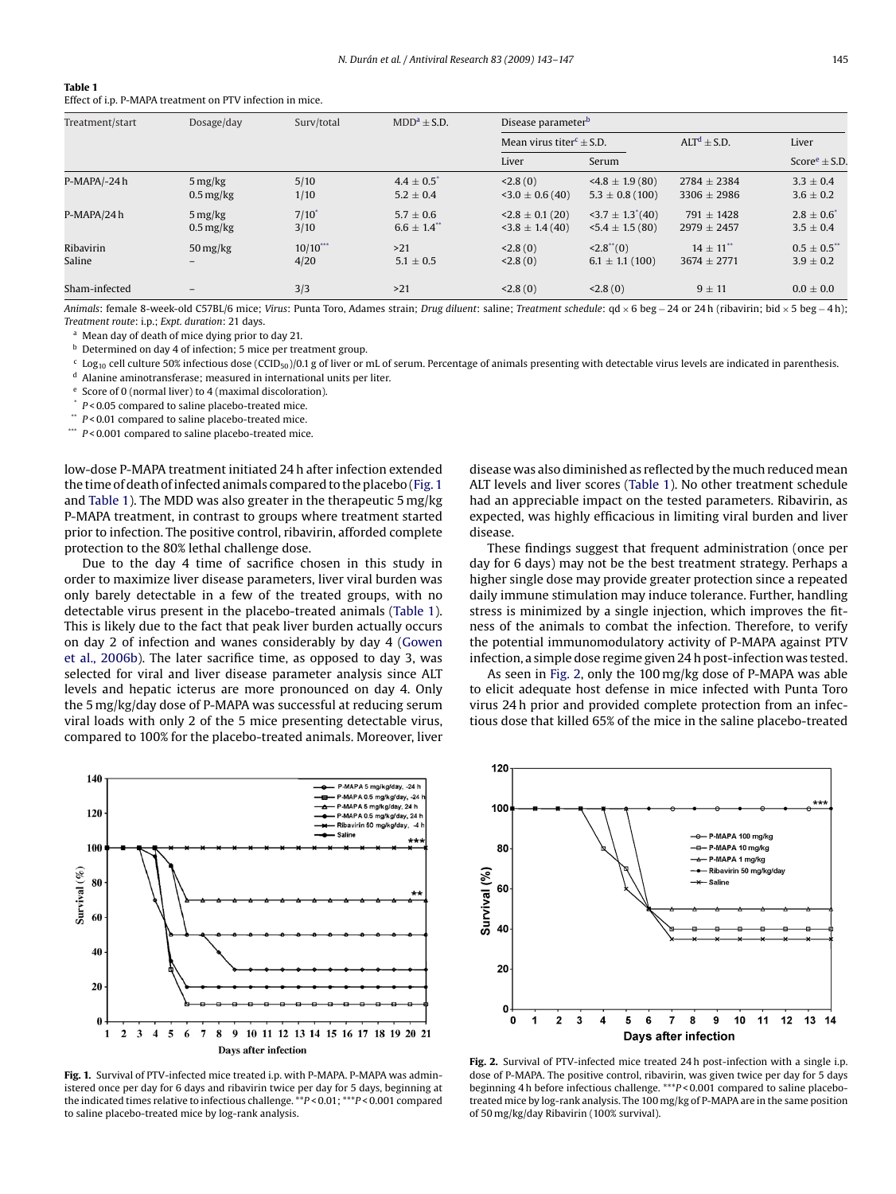# <span id="page-2-0"></span>**Table 1** Effect of i.p. P-MAPA treatment on PTV infection in mice.

| Treatment/start     | Dosage/day                                                | Surv/total         | $MDD^a \pm S.D.$                            | Disease parameter <sup>b</sup>                      |                                                            |                                              |                                              |
|---------------------|-----------------------------------------------------------|--------------------|---------------------------------------------|-----------------------------------------------------|------------------------------------------------------------|----------------------------------------------|----------------------------------------------|
|                     |                                                           |                    |                                             | Mean virus titer <sup><math>c \pm</math></sup> S.D. |                                                            | $ALTd \pm S.D.$                              | Liver                                        |
|                     |                                                           |                    |                                             | Liver                                               | Serum                                                      |                                              | Score $\pm$ S.D.                             |
| P-MAPA/-24h         | $5 \frac{\text{mg}}{\text{kg}}$<br>$0.5 \,\mathrm{mg/kg}$ | 5/10<br>1/10       | $4.4 \pm 0.5$ <sup>*</sup><br>$5.2 \pm 0.4$ | < 2.8(0)<br>$3.0 \pm 0.6(40)$                       | $4.8 \pm 1.9(80)$<br>$5.3 \pm 0.8$ (100)                   | $2784 \pm 2384$<br>$3306 \pm 2986$           | $3.3 \pm 0.4$<br>$3.6 \pm 0.2$               |
| P-MAPA/24h          | $5 \frac{\text{mg}}{\text{kg}}$<br>$0.5 \,\mathrm{mg/kg}$ | $7/10^*$<br>3/10   | $5.7 \pm 0.6$<br>$6.6 \pm 1.4$              | $\leq$ 2.8 $\pm$ 0.1 (20)<br>$3.8 \pm 1.4(40)$      | $\left(40\right)$ + $\left(40\right)$<br>$5.4 \pm 1.5(80)$ | $791 + 1428$<br>$2979 \pm 2457$              | $2.8 \pm 0.6^{*}$<br>$3.5 \pm 0.4$           |
| Ribavirin<br>Saline | $50 \frac{\text{mg}}{\text{kg}}$<br>-                     | $10/10***$<br>4/20 | >21<br>$5.1 \pm 0.5$                        | < 2.8(0)<br>$<$ 2.8 (0)                             | $< 2.8$ ** $(0)$<br>$6.1 \pm 1.1(100)$                     | $14 \pm 11$ <sup>**</sup><br>$3674 \pm 2771$ | $0.5 \pm 0.5$ <sup>**</sup><br>$3.9 \pm 0.2$ |
| Sham-infected       |                                                           | 3/3                | $>21$                                       | < 2.8(0)                                            | < 2.8(0)                                                   | $9 \pm 11$                                   | $0.0 \pm 0.0$                                |

*Animals*: female 8-week-old C57BL/6 mice; *Virus*: Punta Toro, Adames strain; *Drug diluent*: saline; *Treatment schedule*: qd × 6 beg − 24 or 24 h (ribavirin; bid × 5 beg − 4 h); *Treatment route*: i.p.; *Expt. duration*: 21 days.

<sup>a</sup> Mean day of death of mice dying prior to day 21.

**b** Determined on day 4 of infection; 5 mice per treatment group.

 $c$  Log<sub>10</sub> cell culture 50% infectious dose (CCID<sub>50</sub>)/0.1 g of liver or mL of serum. Percentage of animals presenting with detectable virus levels are indicated in parenthesis.

<sup>d</sup> Alanine aminotransferase; measured in international units per liter.

<sup>e</sup> Score of 0 (normal liver) to 4 (maximal discoloration).

P < 0.05 compared to saline placebo-treated mice.

\*\* *P* < 0.01 compared to saline placebo-treated mice.

\*\*\* *P* < 0.001 compared to saline placebo-treated mice.

low-dose P-MAPA treatment initiated 24 h after infection extended the time of death of infected animals compared to the placebo (Fig. 1 and Table 1). The MDD was also greater in the therapeutic 5 mg/kg P-MAPA treatment, in contrast to groups where treatment started prior to infection. The positive control, ribavirin, afforded complete protection to the 80% lethal challenge dose.

Due to the day 4 time of sacrifice chosen in this study in order to maximize liver disease parameters, liver viral burden was only barely detectable in a few of the treated groups, with no detectable virus present in the placebo-treated animals (Table 1). This is likely due to the fact that peak liver burden actually occurs on day 2 of infection and wanes considerably by day 4 ([Gowen](#page-4-0) [et al., 2006b\).](#page-4-0) The later sacrifice time, as opposed to day 3, was selected for viral and liver disease parameter analysis since ALT levels and hepatic icterus are more pronounced on day 4. Only the 5 mg/kg/day dose of P-MAPA was successful at reducing serum viral loads with only 2 of the 5 mice presenting detectable virus, compared to 100% for the placebo-treated animals. Moreover, liver



**Fig. 1.** Survival of PTV-infected mice treated i.p. with P-MAPA. P-MAPA was administered once per day for 6 days and ribavirin twice per day for 5 days, beginning at the indicated times relative to infectious challenge. \*\**P* < 0.01; \*\*\**P* < 0.001 compared to saline placebo-treated mice by log-rank analysis.

disease was also diminished as reflected by the much reduced mean ALT levels and liver scores (Table 1). No other treatment schedule had an appreciable impact on the tested parameters. Ribavirin, as expected, was highly efficacious in limiting viral burden and liver disease.

These findings suggest that frequent administration (once per day for 6 days) may not be the best treatment strategy. Perhaps a higher single dose may provide greater protection since a repeated daily immune stimulation may induce tolerance. Further, handling stress is minimized by a single injection, which improves the fitness of the animals to combat the infection. Therefore, to verify the potential immunomodulatory activity of P-MAPA against PTV infection, a simple dose regime given 24 h post-infection was tested.

As seen in Fig. 2, only the 100 mg/kg dose of P-MAPA was able to elicit adequate host defense in mice infected with Punta Toro virus 24 h prior and provided complete protection from an infectious dose that killed 65% of the mice in the saline placebo-treated



**Fig. 2.** Survival of PTV-infected mice treated 24 h post-infection with a single i.p. dose of P-MAPA. The positive control, ribavirin, was given twice per day for 5 days beginning 4 h before infectious challenge. \*\*\**P* < 0.001 compared to saline placebotreated mice by log-rank analysis. The 100 mg/kg of P-MAPA are in the same position of 50 mg/kg/day Ribavirin (100% survival).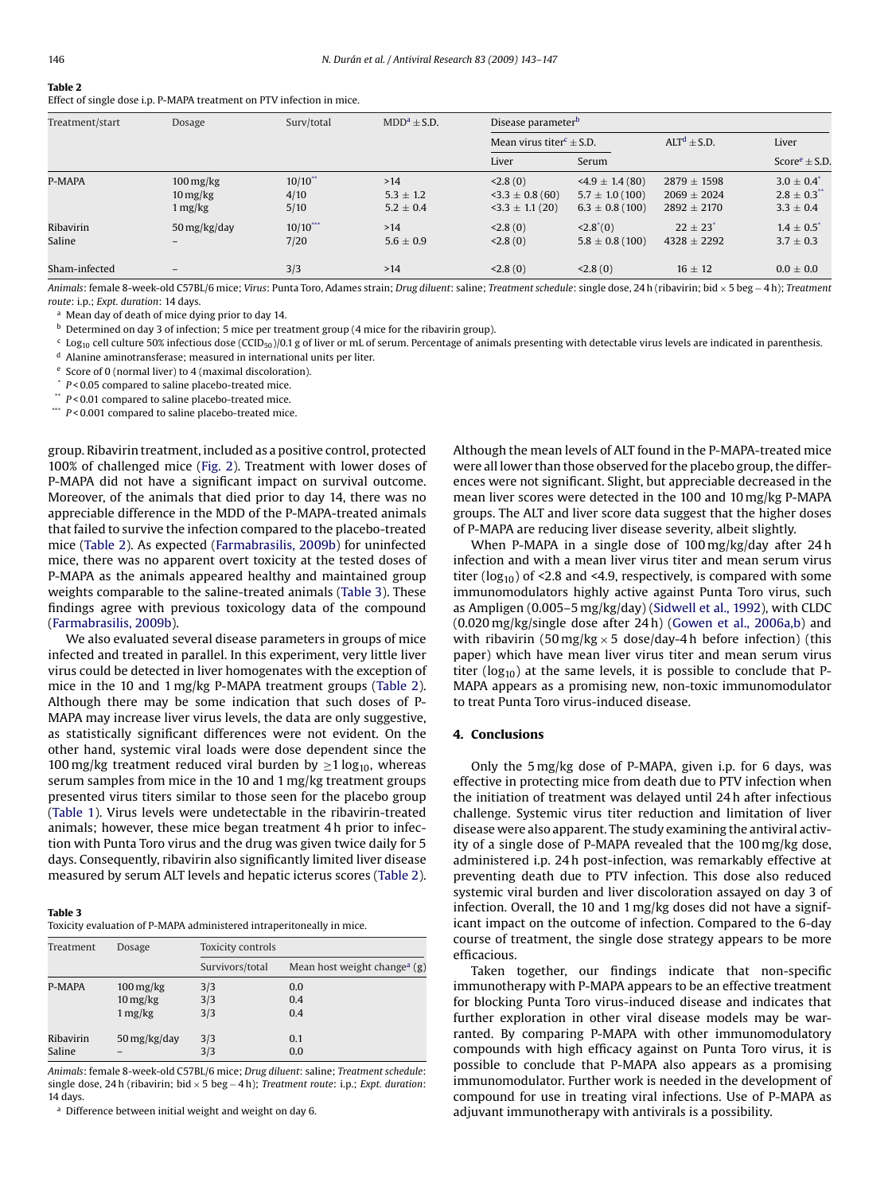# **Table 2**

Effect of single dose i.p. P-MAPA treatment on PTV infection in mice.

| Treatment/start     | Dosage                                                               | Surv/total                 | $MDD^a \pm S.D.$                      | Disease parameter <sup>b</sup>                       |                                                                 |                                                   |                                                               |
|---------------------|----------------------------------------------------------------------|----------------------------|---------------------------------------|------------------------------------------------------|-----------------------------------------------------------------|---------------------------------------------------|---------------------------------------------------------------|
|                     |                                                                      |                            |                                       | Mean virus titer <sup>c</sup> $\pm$ S.D.             |                                                                 | $ALTd \pm S.D.$                                   | Liver                                                         |
|                     |                                                                      |                            |                                       | Liver                                                | Serum                                                           |                                                   | Score $e \pm$ S.D.                                            |
| P-MAPA              | $100 \,\mathrm{mg/kg}$<br>$10 \,\mathrm{mg/kg}$<br>$1 \frac{mg}{kg}$ | $10/10$ **<br>4/10<br>5/10 | >14<br>$5.3 \pm 1.2$<br>$5.2 \pm 0.4$ | < 2.8(0)<br>$-3.3 \pm 0.8$ (60)<br>$3.3 \pm 1.1(20)$ | $-4.9 \pm 1.4(80)$<br>$5.7 \pm 1.0(100)$<br>$6.3 \pm 0.8$ (100) | $2879 + 1598$<br>$2069 + 2024$<br>$2892 \pm 2170$ | $3.0 \pm 0.4$<br>$2.8 \pm 0.3$ <sup>**</sup><br>$3.3 \pm 0.4$ |
| Ribavirin<br>Saline | 50 mg/kg/day                                                         | $10/10$ ***<br>7/20        | >14<br>$5.6 \pm 0.9$                  | < 2.8(0)<br>< 2.8(0)                                 | $<2.8^*(0)$<br>$5.8 \pm 0.8$ (100)                              | $22 \pm 23$ <sup>*</sup><br>$4328 \pm 2292$       | $1.4 \pm 0.5$ <sup>*</sup><br>$3.7 \pm 0.3$                   |
| Sham-infected       |                                                                      | 3/3                        | >14                                   | < 2.8(0)                                             | < 2.8(0)                                                        | $16 \pm 12$                                       | $0.0\pm0.0$                                                   |

*Animals*: female 8-week-old C57BL/6 mice; *Virus*: Punta Toro, Adames strain; *Drug diluent*: saline; *Treatment schedule*: single dose, 24 h (ribavirin; bid × 5 beg − 4 h); *Treatment route*: i.p.; *Expt. duration*: 14 days.

<sup>a</sup> Mean day of death of mice dying prior to day 14.

b Determined on day 3 of infection; 5 mice per treatment group (4 mice for the ribavirin group).

 $c$  Log<sub>10</sub> cell culture 50% infectious dose (CCID<sub>50</sub>)/0.1 g of liver or mL of serum. Percentage of animals presenting with detectable virus levels are indicated in parenthesis.

<sup>d</sup> Alanine aminotransferase; measured in international units per liter.

<sup>e</sup> Score of 0 (normal liver) to 4 (maximal discoloration).

\* *P* < 0.05 compared to saline placebo-treated mice.

 $P$  < 0.01 compared to saline placebo-treated mice.

\*\*\* *P* < 0.001 compared to saline placebo-treated mice.

group. Ribavirin treatment, included as a positive control, protected 100% of challenged mice ([Fig. 2\).](#page-2-0) Treatment with lower doses of P-MAPA did not have a significant impact on survival outcome. Moreover, of the animals that died prior to day 14, there was no appreciable difference in the MDD of the P-MAPA-treated animals that failed to survive the infection compared to the placebo-treated mice (Table 2). As expected ([Farmabrasilis, 2009b\)](#page-4-0) for uninfected mice, there was no apparent overt toxicity at the tested doses of P-MAPA as the animals appeared healthy and maintained group weights comparable to the saline-treated animals (Table 3). These findings agree with previous toxicology data of the compound ([Farmabrasilis, 2009b\).](#page-4-0)

We also evaluated several disease parameters in groups of mice infected and treated in parallel. In this experiment, very little liver virus could be detected in liver homogenates with the exception of mice in the 10 and 1 mg/kg P-MAPA treatment groups (Table 2). Although there may be some indication that such doses of P-MAPA may increase liver virus levels, the data are only suggestive, as statistically significant differences were not evident. On the other hand, systemic viral loads were dose dependent since the 100 mg/kg treatment reduced viral burden by  $\geq$ 1 log<sub>10</sub>, whereas serum samples from mice in the 10 and 1 mg/kg treatment groups presented virus titers similar to those seen for the placebo group ([Table 1\).](#page-2-0) Virus levels were undetectable in the ribavirin-treated animals; however, these mice began treatment 4 h prior to infection with Punta Toro virus and the drug was given twice daily for 5 days. Consequently, ribavirin also significantly limited liver disease measured by serum ALT levels and hepatic icterus scores (Table 2).

#### **Table 3**

Toxicity evaluation of P-MAPA administered intraperitoneally in mice.

| Treatment | Dosage                 | Toxicity controls |                                          |  |  |
|-----------|------------------------|-------------------|------------------------------------------|--|--|
|           |                        | Survivors/total   | Mean host weight change <sup>a</sup> (g) |  |  |
| P-MAPA    | $100 \,\mathrm{mg/kg}$ | 3/3               | 0.0                                      |  |  |
|           | $10 \,\mathrm{mg/kg}$  | 3/3               | 0.4                                      |  |  |
|           | $1 \frac{mg}{kg}$      | 3/3               | 0.4                                      |  |  |
| Ribavirin | 50 mg/kg/day           | 3/3               | 0.1                                      |  |  |
| Saline    |                        | 3/3               | 0.0                                      |  |  |

*Animals*: female 8-week-old C57BL/6 mice; *Drug diluent*: saline; *Treatment schedule*: single dose, 24 h (ribavirin; bid × 5 beg − 4 h); *Treatment route*: i.p.; *Expt. duration*: 14 days.

<sup>a</sup> Difference between initial weight and weight on day 6.

Although the mean levels of ALT found in the P-MAPA-treated mice were all lower than those observed for the placebo group, the differences were not significant. Slight, but appreciable decreased in the mean liver scores were detected in the 100 and 10 mg/kg P-MAPA groups. The ALT and liver score data suggest that the higher doses of P-MAPA are reducing liver disease severity, albeit slightly.

When P-MAPA in a single dose of 100 mg/kg/day after 24 h infection and with a mean liver virus titer and mean serum virus titer ( $log_{10}$ ) of <2.8 and <4.9, respectively, is compared with some immunomodulators highly active against Punta Toro virus, such as Ampligen (0.005–5 mg/kg/day) ([Sidwell et al., 1992\),](#page-4-0) with CLDC (0.020 mg/kg/single dose after 24 h) [\(Gowen et al., 2006a,b\)](#page-4-0) and with ribavirin (50 mg/kg  $\times$  5 dose/day-4 h before infection) (this paper) which have mean liver virus titer and mean serum virus titer ( $log_{10}$ ) at the same levels, it is possible to conclude that P-MAPA appears as a promising new, non-toxic immunomodulator to treat Punta Toro virus-induced disease.

# **4. Conclusions**

Only the 5 mg/kg dose of P-MAPA, given i.p. for 6 days, was effective in protecting mice from death due to PTV infection when the initiation of treatment was delayed until 24 h after infectious challenge. Systemic virus titer reduction and limitation of liver disease were also apparent. The study examining the antiviral activity of a single dose of P-MAPA revealed that the 100 mg/kg dose, administered i.p. 24 h post-infection, was remarkably effective at preventing death due to PTV infection. This dose also reduced systemic viral burden and liver discoloration assayed on day 3 of infection. Overall, the 10 and 1 mg/kg doses did not have a significant impact on the outcome of infection. Compared to the 6-day course of treatment, the single dose strategy appears to be more efficacious.

Taken together, our findings indicate that non-specific immunotherapy with P-MAPA appears to be an effective treatment for blocking Punta Toro virus-induced disease and indicates that further exploration in other viral disease models may be warranted. By comparing P-MAPA with other immunomodulatory compounds with high efficacy against on Punta Toro virus, it is possible to conclude that P-MAPA also appears as a promising immunomodulator. Further work is needed in the development of compound for use in treating viral infections. Use of P-MAPA as adjuvant immunotherapy with antivirals is a possibility.